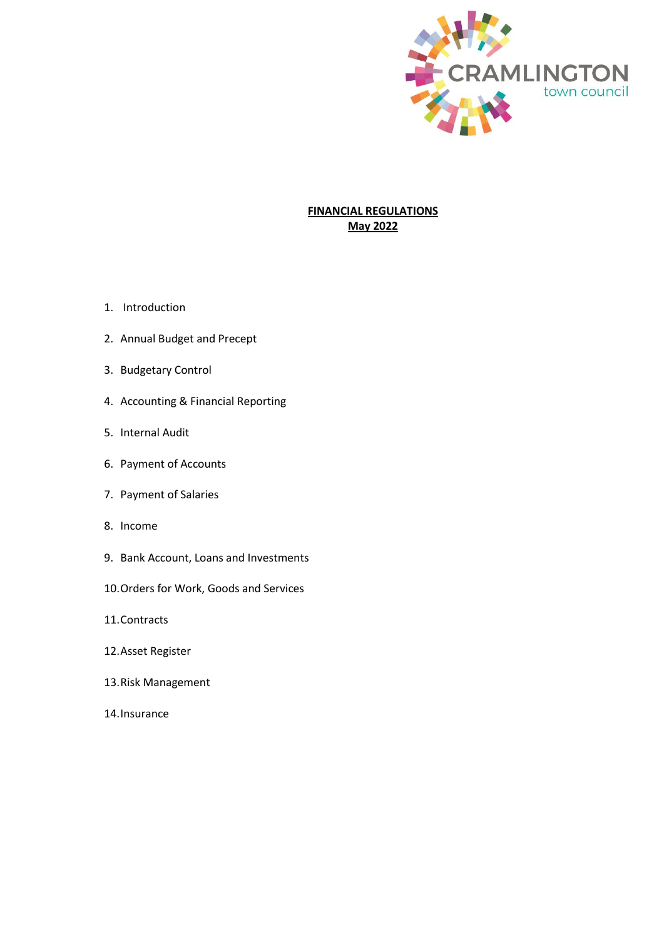

# **FINANCIAL REGULATIONS May 2022**

- 1. Introduction
- 2. Annual Budget and Precept
- 3. Budgetary Control
- 4. Accounting & Financial Reporting
- 5. Internal Audit
- 6. Payment of Accounts
- 7. Payment of Salaries
- 8. Income
- 9. Bank Account, Loans and Investments
- 10.Orders for Work, Goods and Services
- 11.Contracts
- 12.Asset Register
- 13.Risk Management
- 14.Insurance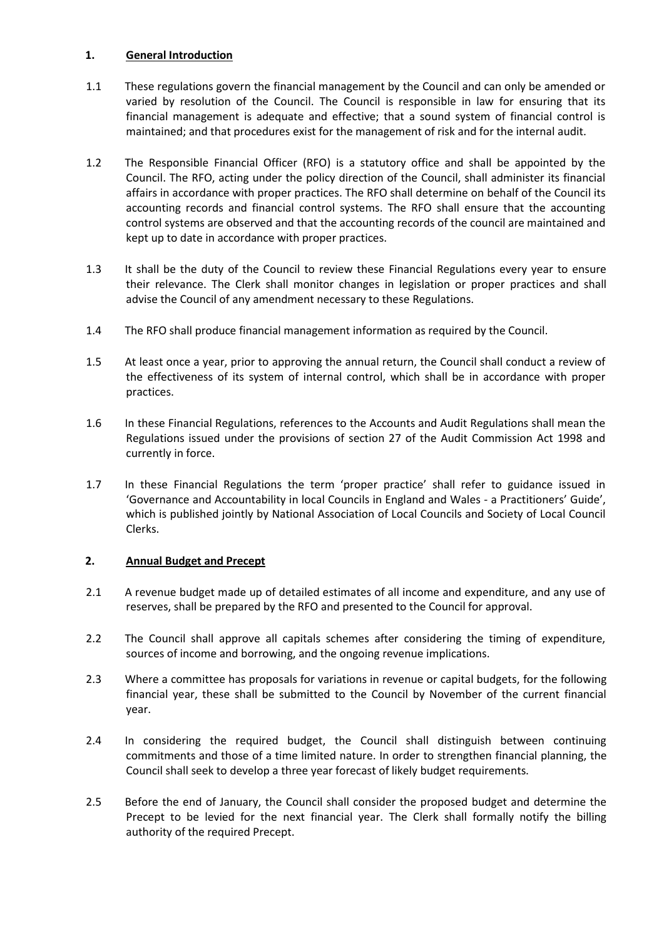### **1. General Introduction**

- 1.1 These regulations govern the financial management by the Council and can only be amended or varied by resolution of the Council. The Council is responsible in law for ensuring that its financial management is adequate and effective; that a sound system of financial control is maintained; and that procedures exist for the management of risk and for the internal audit.
- 1.2 The Responsible Financial Officer (RFO) is a statutory office and shall be appointed by the Council. The RFO, acting under the policy direction of the Council, shall administer its financial affairs in accordance with proper practices. The RFO shall determine on behalf of the Council its accounting records and financial control systems. The RFO shall ensure that the accounting control systems are observed and that the accounting records of the council are maintained and kept up to date in accordance with proper practices.
- 1.3 It shall be the duty of the Council to review these Financial Regulations every year to ensure their relevance. The Clerk shall monitor changes in legislation or proper practices and shall advise the Council of any amendment necessary to these Regulations.
- 1.4 The RFO shall produce financial management information as required by the Council.
- 1.5 At least once a year, prior to approving the annual return, the Council shall conduct a review of the effectiveness of its system of internal control, which shall be in accordance with proper practices.
- 1.6 In these Financial Regulations, references to the Accounts and Audit Regulations shall mean the Regulations issued under the provisions of section 27 of the Audit Commission Act 1998 and currently in force.
- 1.7 In these Financial Regulations the term 'proper practice' shall refer to guidance issued in 'Governance and Accountability in local Councils in England and Wales - a Practitioners' Guide', which is published jointly by National Association of Local Councils and Society of Local Council Clerks.

# **2. Annual Budget and Precept**

- 2.1 A revenue budget made up of detailed estimates of all income and expenditure, and any use of reserves, shall be prepared by the RFO and presented to the Council for approval.
- 2.2 The Council shall approve all capitals schemes after considering the timing of expenditure, sources of income and borrowing, and the ongoing revenue implications.
- 2.3 Where a committee has proposals for variations in revenue or capital budgets, for the following financial year, these shall be submitted to the Council by November of the current financial year.
- 2.4 In considering the required budget, the Council shall distinguish between continuing commitments and those of a time limited nature. In order to strengthen financial planning, the Council shall seek to develop a three year forecast of likely budget requirements.
- 2.5 Before the end of January, the Council shall consider the proposed budget and determine the Precept to be levied for the next financial year. The Clerk shall formally notify the billing authority of the required Precept.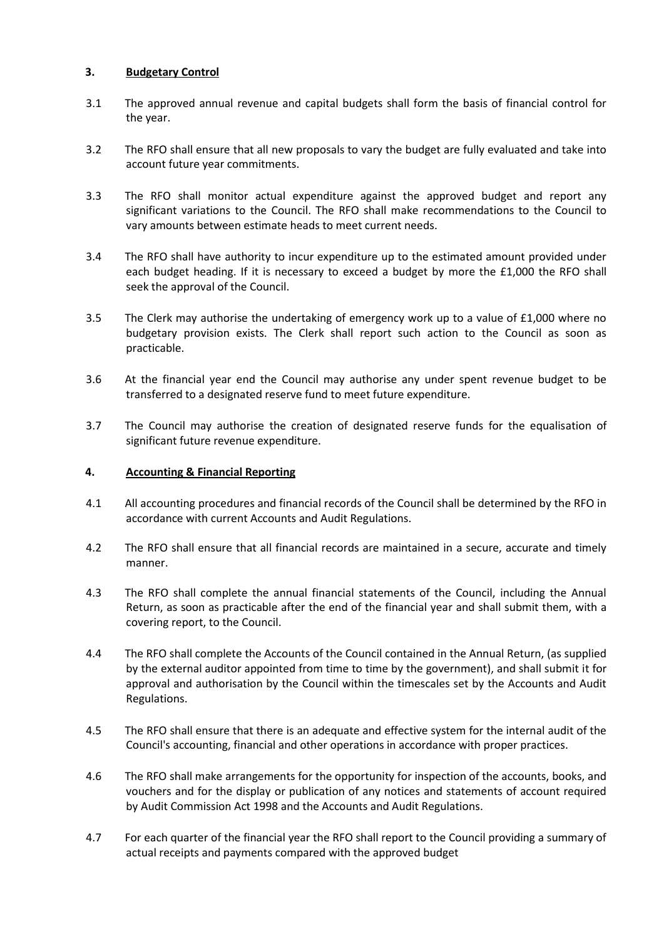### **3. Budgetary Control**

- 3.1 The approved annual revenue and capital budgets shall form the basis of financial control for the year.
- 3.2 The RFO shall ensure that all new proposals to vary the budget are fully evaluated and take into account future year commitments.
- 3.3 The RFO shall monitor actual expenditure against the approved budget and report any significant variations to the Council. The RFO shall make recommendations to the Council to vary amounts between estimate heads to meet current needs.
- 3.4 The RFO shall have authority to incur expenditure up to the estimated amount provided under each budget heading. If it is necessary to exceed a budget by more the £1,000 the RFO shall seek the approval of the Council.
- 3.5 The Clerk may authorise the undertaking of emergency work up to a value of £1,000 where no budgetary provision exists. The Clerk shall report such action to the Council as soon as practicable.
- 3.6 At the financial year end the Council may authorise any under spent revenue budget to be transferred to a designated reserve fund to meet future expenditure.
- 3.7 The Council may authorise the creation of designated reserve funds for the equalisation of significant future revenue expenditure.

#### **4. Accounting & Financial Reporting**

- 4.1 All accounting procedures and financial records of the Council shall be determined by the RFO in accordance with current Accounts and Audit Regulations.
- 4.2 The RFO shall ensure that all financial records are maintained in a secure, accurate and timely manner.
- 4.3 The RFO shall complete the annual financial statements of the Council, including the Annual Return, as soon as practicable after the end of the financial year and shall submit them, with a covering report, to the Council.
- 4.4 The RFO shall complete the Accounts of the Council contained in the Annual Return, (as supplied by the external auditor appointed from time to time by the government), and shall submit it for approval and authorisation by the Council within the timescales set by the Accounts and Audit Regulations.
- 4.5 The RFO shall ensure that there is an adequate and effective system for the internal audit of the Council's accounting, financial and other operations in accordance with proper practices.
- 4.6 The RFO shall make arrangements for the opportunity for inspection of the accounts, books, and vouchers and for the display or publication of any notices and statements of account required by Audit Commission Act 1998 and the Accounts and Audit Regulations.
- 4.7 For each quarter of the financial year the RFO shall report to the Council providing a summary of actual receipts and payments compared with the approved budget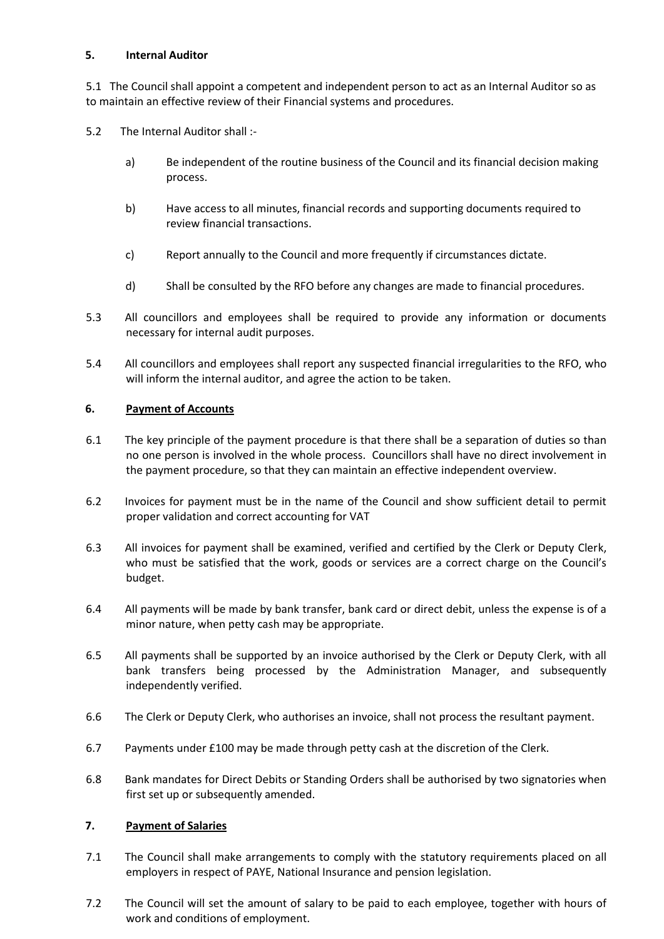### **5. Internal Auditor**

5.1 The Council shall appoint a competent and independent person to act as an Internal Auditor so as to maintain an effective review of their Financial systems and procedures.

5.2 The Internal Auditor shall :-

- a) Be independent of the routine business of the Council and its financial decision making process.
- b) Have access to all minutes, financial records and supporting documents required to review financial transactions.
- c) Report annually to the Council and more frequently if circumstances dictate.
- d) Shall be consulted by the RFO before any changes are made to financial procedures.
- 5.3 All councillors and employees shall be required to provide any information or documents necessary for internal audit purposes.
- 5.4 All councillors and employees shall report any suspected financial irregularities to the RFO, who will inform the internal auditor, and agree the action to be taken.

### **6. Payment of Accounts**

- 6.1 The key principle of the payment procedure is that there shall be a separation of duties so than no one person is involved in the whole process. Councillors shall have no direct involvement in the payment procedure, so that they can maintain an effective independent overview.
- 6.2 Invoices for payment must be in the name of the Council and show sufficient detail to permit proper validation and correct accounting for VAT
- 6.3 All invoices for payment shall be examined, verified and certified by the Clerk or Deputy Clerk, who must be satisfied that the work, goods or services are a correct charge on the Council's budget.
- 6.4 All payments will be made by bank transfer, bank card or direct debit, unless the expense is of a minor nature, when petty cash may be appropriate.
- 6.5 All payments shall be supported by an invoice authorised by the Clerk or Deputy Clerk, with all bank transfers being processed by the Administration Manager, and subsequently independently verified.
- 6.6 The Clerk or Deputy Clerk, who authorises an invoice, shall not process the resultant payment.
- 6.7 Payments under £100 may be made through petty cash at the discretion of the Clerk.
- 6.8 Bank mandates for Direct Debits or Standing Orders shall be authorised by two signatories when first set up or subsequently amended.

# **7. Payment of Salaries**

- 7.1 The Council shall make arrangements to comply with the statutory requirements placed on all employers in respect of PAYE, National Insurance and pension legislation.
- 7.2 The Council will set the amount of salary to be paid to each employee, together with hours of work and conditions of employment.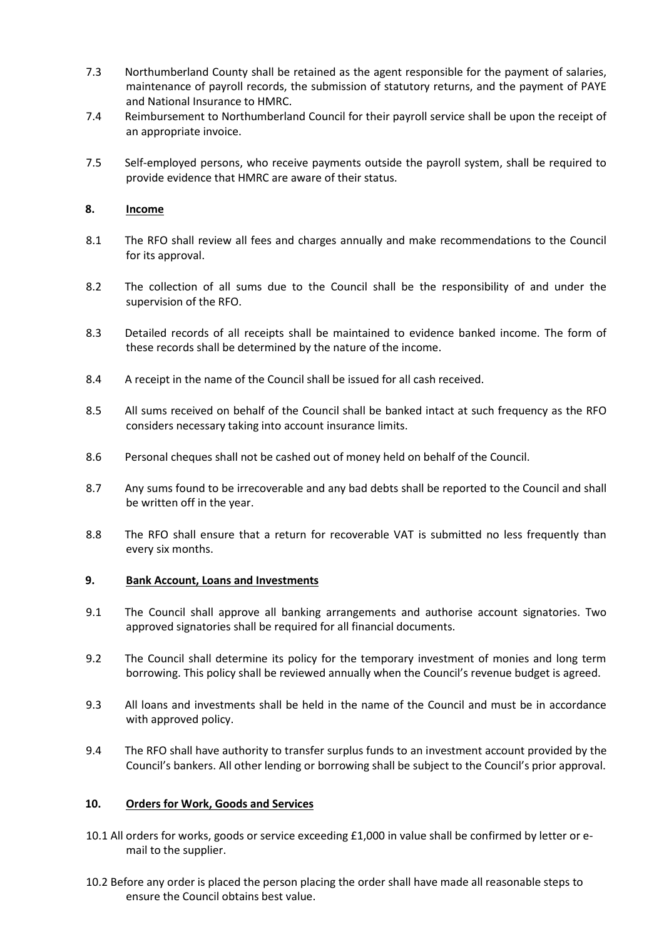- 7.3 Northumberland County shall be retained as the agent responsible for the payment of salaries, maintenance of payroll records, the submission of statutory returns, and the payment of PAYE and National Insurance to HMRC.
- 7.4 Reimbursement to Northumberland Council for their payroll service shall be upon the receipt of an appropriate invoice.
- 7.5 Self-employed persons, who receive payments outside the payroll system, shall be required to provide evidence that HMRC are aware of their status.

#### **8. Income**

- 8.1 The RFO shall review all fees and charges annually and make recommendations to the Council for its approval.
- 8.2 The collection of all sums due to the Council shall be the responsibility of and under the supervision of the RFO.
- 8.3 Detailed records of all receipts shall be maintained to evidence banked income. The form of these records shall be determined by the nature of the income.
- 8.4 A receipt in the name of the Council shall be issued for all cash received.
- 8.5 All sums received on behalf of the Council shall be banked intact at such frequency as the RFO considers necessary taking into account insurance limits.
- 8.6 Personal cheques shall not be cashed out of money held on behalf of the Council.
- 8.7 Any sums found to be irrecoverable and any bad debts shall be reported to the Council and shall be written off in the year.
- 8.8 The RFO shall ensure that a return for recoverable VAT is submitted no less frequently than every six months.

#### **9. Bank Account, Loans and Investments**

- 9.1 The Council shall approve all banking arrangements and authorise account signatories. Two approved signatories shall be required for all financial documents.
- 9.2 The Council shall determine its policy for the temporary investment of monies and long term borrowing. This policy shall be reviewed annually when the Council's revenue budget is agreed.
- 9.3 All loans and investments shall be held in the name of the Council and must be in accordance with approved policy.
- 9.4 The RFO shall have authority to transfer surplus funds to an investment account provided by the Council's bankers. All other lending or borrowing shall be subject to the Council's prior approval.

#### **10. Orders for Work, Goods and Services**

- 10.1 All orders for works, goods or service exceeding £1,000 in value shall be confirmed by letter or email to the supplier.
- 10.2 Before any order is placed the person placing the order shall have made all reasonable steps to ensure the Council obtains best value.